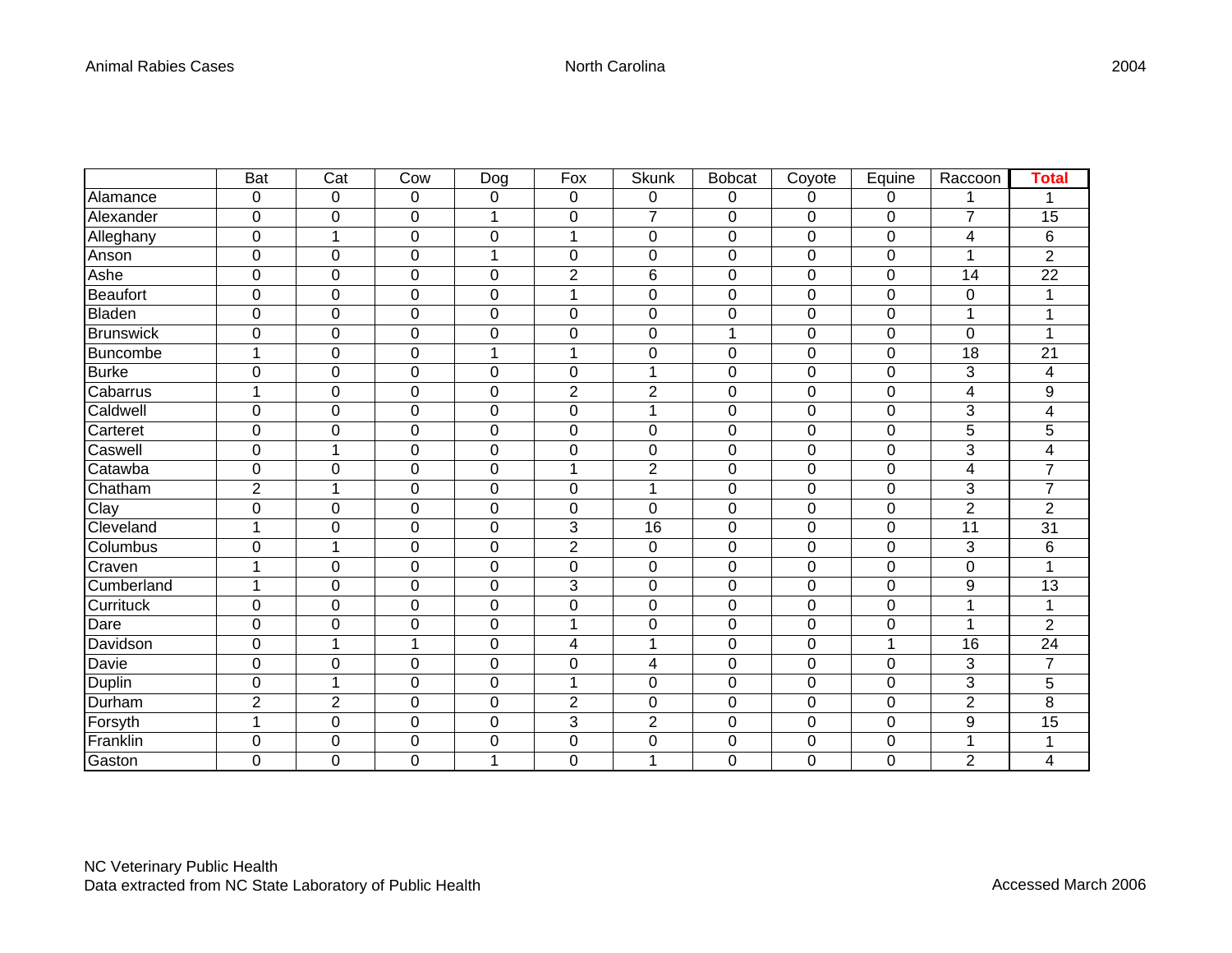|                  | <b>Bat</b>     | $\overline{Cat}$ | Cow            | Dog              | Fox                     | <b>Skunk</b>     | <b>Bobcat</b>    | Coyote      | Equine         | Raccoon         | <b>Total</b>             |
|------------------|----------------|------------------|----------------|------------------|-------------------------|------------------|------------------|-------------|----------------|-----------------|--------------------------|
| Alamance         | 0              | 0                | 0              | 0                | 0                       | 0                | 0                | 0           | 0              |                 |                          |
| Alexander        | $\mathbf 0$    | $\boldsymbol{0}$ | $\mathbf 0$    | 1                | $\boldsymbol{0}$        | $\overline{7}$   | $\pmb{0}$        | 0           | 0              | $\overline{7}$  | 15                       |
| Alleghany        | $\mathbf 0$    | 1                | $\mathbf 0$    | $\mathbf 0$      | 1                       | $\mathbf 0$      | $\mathbf 0$      | 0           | 0              | 4               | 6                        |
| Anson            | $\mathbf 0$    | $\mathbf 0$      | $\mathbf 0$    | 1                | $\boldsymbol{0}$        | $\boldsymbol{0}$ | $\boldsymbol{0}$ | 0           | 0              | 1               | $\overline{2}$           |
| Ashe             | $\mathbf 0$    | $\pmb{0}$        | $\mathbf 0$    | $\boldsymbol{0}$ | $\overline{2}$          | $6\phantom{1}6$  | $\pmb{0}$        | 0           | $\overline{0}$ | 14              | 22                       |
| Beaufort         | $\mathbf 0$    | $\boldsymbol{0}$ | $\mathbf 0$    | $\boldsymbol{0}$ | $\mathbf{1}$            | $\pmb{0}$        | $\boldsymbol{0}$ | 0           | 0              | 0               | 1                        |
| Bladen           | $\pmb{0}$      | $\boldsymbol{0}$ | $\mathbf 0$    | $\boldsymbol{0}$ | $\boldsymbol{0}$        | $\pmb{0}$        | $\pmb{0}$        | 0           | 0              | 1               | 1                        |
| <b>Brunswick</b> | $\mathbf 0$    | $\mathbf 0$      | $\mathbf 0$    | $\mathbf 0$      | $\mathbf 0$             | $\mathbf 0$      | 1                | 0           | 0              | $\mathbf 0$     | 1                        |
| Buncombe         | 1              | $\mathbf 0$      | $\mathbf 0$    | 1                | 1                       | $\boldsymbol{0}$ | $\boldsymbol{0}$ | 0           | 0              | 18              | 21                       |
| <b>Burke</b>     | $\mathbf 0$    | $\mathbf 0$      | $\mathbf 0$    | $\mathbf 0$      | $\pmb{0}$               | 1                | $\mathbf 0$      | 0           | 0              | 3               | 4                        |
| Cabarrus         | 1              | $\mathbf 0$      | $\mathbf 0$    | $\mathbf 0$      | $\overline{\mathbf{c}}$ | $\overline{c}$   | $\boldsymbol{0}$ | 0           | 0              | 4               | 9                        |
| Caldwell         | $\pmb{0}$      | $\pmb{0}$        | $\mathbf 0$    | $\boldsymbol{0}$ | $\boldsymbol{0}$        | $\mathbf{1}$     | $\pmb{0}$        | 0           | 0              | 3               | $\overline{\mathcal{A}}$ |
| Carteret         | $\mathbf 0$    | $\pmb{0}$        | $\mathbf 0$    | $\mathbf 0$      | $\pmb{0}$               | $\mathbf 0$      | $\pmb{0}$        | 0           | 0              | 5               | 5                        |
| Caswell          | 0              | 1                | 0              | 0                | 0                       | 0                | $\mathbf 0$      | 0           | 0              | 3               | 4                        |
| Catawba          | $\mathbf 0$    | $\mathbf 0$      | $\mathbf 0$    | $\mathbf 0$      | 1                       | $\overline{2}$   | $\mathbf 0$      | 0           | 0              | 4               | $\overline{7}$           |
| Chatham          | $\overline{2}$ | 1                | $\mathbf 0$    | $\boldsymbol{0}$ | $\pmb{0}$               | 1                | $\pmb{0}$        | 0           | 0              | 3               | $\overline{7}$           |
| Clay             | $\pmb{0}$      | $\pmb{0}$        | $\mathbf 0$    | $\boldsymbol{0}$ | $\pmb{0}$               | $\pmb{0}$        | $\pmb{0}$        | 0           | 0              | $\overline{c}$  | $\overline{c}$           |
| Cleveland        | 1              | $\mathbf 0$      | $\mathbf 0$    | $\mathbf 0$      | 3                       | $\overline{16}$  | $\mathbf 0$      | 0           | 0              | $\overline{11}$ | $\overline{31}$          |
| Columbus         | 0              | 1                | $\mathbf 0$    | $\boldsymbol{0}$ | $\overline{2}$          | 0                | $\pmb{0}$        | 0           | 0              | 3               | 6                        |
| Craven           | 1              | $\mathbf 0$      | $\mathbf 0$    | $\mathbf 0$      | $\mathbf 0$             | $\mathbf 0$      | $\mathbf 0$      | 0           | $\overline{0}$ | $\mathbf 0$     | 1                        |
| Cumberland       | 1              | $\pmb{0}$        | $\mathbf 0$    | $\boldsymbol{0}$ | 3                       | $\boldsymbol{0}$ | $\pmb{0}$        | 0           | 0              | 9               | 13                       |
| Currituck        | $\mathbf 0$    | $\pmb{0}$        | $\mathbf 0$    | $\boldsymbol{0}$ | $\pmb{0}$               | $\pmb{0}$        | $\pmb{0}$        | 0           | $\pmb{0}$      | 1               | 1                        |
| Dare             | $\overline{0}$ | $\mathbf 0$      | $\overline{0}$ | $\mathbf 0$      | $\mathbf{1}$            | $\overline{0}$   | $\mathbf 0$      | $\mathbf 0$ | 0              | 1               | $\overline{2}$           |
| Davidson         | $\mathbf 0$    | 1                | 1              | $\boldsymbol{0}$ | 4                       | 1                | $\pmb{0}$        | 0           | 1              | 16              | 24                       |
| Davie            | $\mathbf 0$    | $\pmb{0}$        | $\mathbf 0$    | $\boldsymbol{0}$ | $\boldsymbol{0}$        | 4                | $\boldsymbol{0}$ | 0           | $\overline{0}$ | 3               | $\overline{7}$           |
| Duplin           | $\pmb{0}$      | 1                | $\mathbf 0$    | $\boldsymbol{0}$ | 1                       | $\pmb{0}$        | $\boldsymbol{0}$ | 0           | $\mathbf 0$    | 3               | 5                        |
| Durham           | $\overline{2}$ | $\overline{2}$   | $\mathbf 0$    | $\mathbf 0$      | $\overline{c}$          | $\mathbf 0$      | $\pmb{0}$        | 0           | 0              | $\overline{c}$  | 8                        |
| Forsyth          | 1              | $\mathbf 0$      | $\overline{0}$ | $\mathbf 0$      | 3                       | $\overline{2}$   | $\mathbf 0$      | 0           | 0              | $\mathsf g$     | 15                       |
| Franklin         | $\mathbf 0$    | $\pmb{0}$        | $\mathbf 0$    | $\mathbf 0$      | $\pmb{0}$               | 0                | $\boldsymbol{0}$ | 0           | 0              | 1               | 1                        |
| Gaston           | $\mathbf 0$    | $\mathbf 0$      | $\overline{0}$ | 1                | $\mathbf 0$             | 1                | $\mathbf 0$      | 0           | $\mathbf 0$    | $\overline{2}$  | 4                        |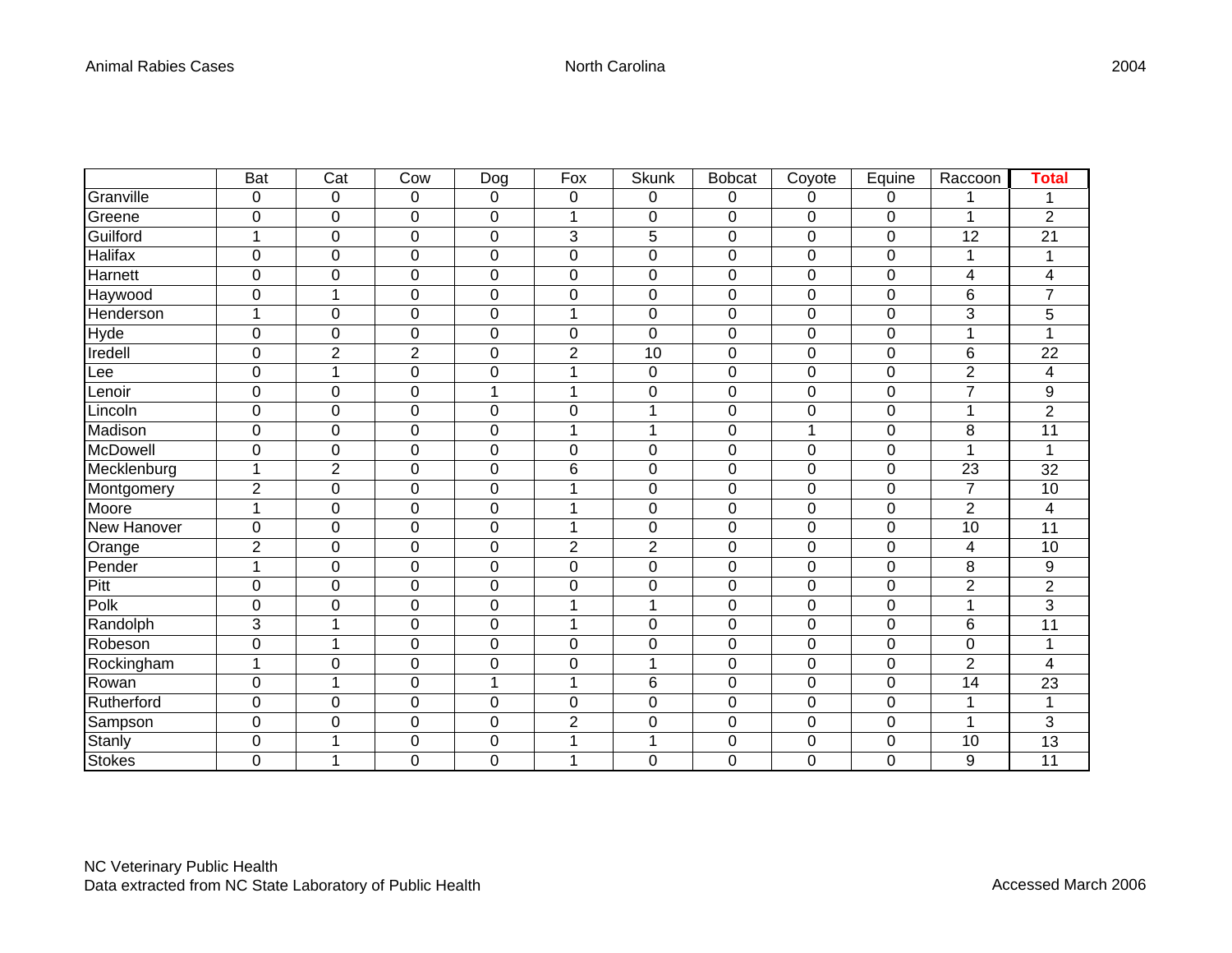|                      | <b>Bat</b>          | $\overline{\text{Cat}}$ | Cow            | <b>Dog</b>     | Fox            | <b>Skunk</b>   | <b>Bobcat</b> | Coyote | Equine      | Raccoon                 | <b>Total</b>     |
|----------------------|---------------------|-------------------------|----------------|----------------|----------------|----------------|---------------|--------|-------------|-------------------------|------------------|
| Granville            | $\mathbf 0$         | 0                       | $\mathbf 0$    | $\pmb{0}$      | $\pmb{0}$      | 0              | 0             | 0      | 0           |                         | 1                |
| Greene               | 0                   | 0                       | $\mathbf 0$    | $\pmb{0}$      | 1              | $\pmb{0}$      | $\pmb{0}$     | 0      | $\pmb{0}$   |                         | $\overline{2}$   |
| Guilford             | $\overline{1}$      | 0                       | $\mathbf 0$    | $\overline{0}$ | 3              | 5              | 0             | 0      | $\mathbf 0$ | $\overline{12}$         | 21               |
| Halifax              | 0                   | 0                       | $\mathbf 0$    | 0              | 0              | $\mathbf 0$    | 0             | 0      | 0           |                         | 1                |
| Harnett              | $\mathbf 0$         | 0                       | $\mathbf 0$    | 0              | 0              | $\pmb{0}$      | $\mathbf 0$   | 0      | $\pmb{0}$   | $\overline{\mathbf{4}}$ | 4                |
| Haywood              | $\mathbf 0$         | 1                       | $\mathbf 0$    | $\pmb{0}$      | 0              | $\pmb{0}$      | 0             | 0      | 0           | 6                       | $\overline{7}$   |
| Henderson            | $\overline{1}$      | 0                       | $\mathbf 0$    | $\pmb{0}$      | 1              | $\pmb{0}$      | 0             | 0      | $\mathbf 0$ | 3                       | 5                |
| Hyde                 | $\overline{0}$      | $\mathbf 0$             | $\mathbf 0$    | $\mathbf 0$    | 0              | $\mathbf 0$    | 0             | 0      | 0           | 1                       | 1                |
| $Iredel\overline{I}$ | 0                   | $\overline{2}$          | $\overline{2}$ | 0              | $\overline{c}$ | 10             | 0             | 0      | $\mathbf 0$ | 6                       | 22               |
| Lee                  | 0                   | 1                       | $\mathbf 0$    | 0              | 1              | $\mathbf 0$    | 0             | 0      | 0           | $\overline{2}$          | 4                |
| Lenoir               | $\mathsf{O}\xspace$ | 0                       | $\mathbf 0$    | $\mathbf{1}$   | 1              | $\pmb{0}$      | 0             | 0      | $\mathbf 0$ | $\overline{7}$          | $\boldsymbol{9}$ |
| Lincoln              | 0                   | 0                       | $\mathbf 0$    | 0              | 0              | $\mathbf{1}$   | 0             | 0      | $\mathbf 0$ | 1                       | $\overline{2}$   |
| Madison              | 0                   | 0                       | $\mathbf 0$    | 0              | $\mathbf{1}$   | $\mathbf{1}$   | 0             | 1      | 0           | 8                       | 11               |
| <b>McDowell</b>      | 0                   | 0                       | $\mathbf 0$    | 0              | 0              | $\pmb{0}$      | 0             | 0      | $\mathbf 0$ | 1                       | 1                |
| Mecklenburg          | 1                   | $\overline{2}$          | $\mathbf 0$    | 0              | 6              | $\mathbf 0$    | 0             | 0      | 0           | 23                      | 32               |
| Montgomery           | $\overline{c}$      | 0                       | $\pmb{0}$      | $\pmb{0}$      | 1              | $\pmb{0}$      | 0             | 0      | $\pmb{0}$   | $\overline{7}$          | 10               |
| Moore                | 1                   | $\mathbf 0$             | $\mathbf 0$    | $\mathbf 0$    | 1              | $\mathbf 0$    | 0             | 0      | $\pmb{0}$   | $\overline{2}$          | 4                |
| New Hanover          | 0                   | 0                       | $\mathbf 0$    | 0              | 1              | $\mathbf 0$    | 0             | 0      | 0           | $\overline{10}$         | 11               |
| Orange               | $\overline{2}$      | 0                       | $\mathbf 0$    | $\mathbf 0$    | $\overline{2}$ | $\overline{2}$ | 0             | 0      | $\mathbf 0$ | 4                       | 10               |
| Pender               | $\overline{1}$      | 0                       | $\mathbf 0$    | 0              | 0              | $\pmb{0}$      | 0             | 0      | 0           | 8                       | $\mathsf g$      |
| Pitt                 | $\pmb{0}$           | 0                       | $\mathbf 0$    | $\pmb{0}$      | 0              | $\pmb{0}$      | 0             | 0      | $\mathbf 0$ | $\overline{2}$          | $\overline{c}$   |
| Polk                 | 0                   | 0                       | $\mathbf 0$    | 0              | 1              | 1              | 0             | 0      | 0           | 1                       | 3                |
| Randolph             | 3                   | 1                       | $\mathbf 0$    | 0              | 1              | $\mathbf 0$    | $\mathbf 0$   | 0      | 0           | 6                       | 11               |
| Robeson              | 0                   | 1                       | $\mathbf 0$    | 0              | 0              | $\mathbf 0$    | 0             | 0      | $\mathbf 0$ | 0                       | $\mathbf{1}$     |
| Rockingham           | $\overline{1}$      | 0                       | $\mathbf 0$    | 0              | 0              | 1              | 0             | 0      | 0           | $\overline{2}$          | 4                |
| Rowan                | $\mathbf 0$         | 1                       | $\mathbf 0$    | $\mathbf{1}$   | 1              | $6\phantom{1}$ | $\mathbf 0$   | 0      | $\mathbf 0$ | 14                      | 23               |
| Rutherford           | 0                   | 0                       | $\mathbf 0$    | 0              | 0              | $\mathbf 0$    | 0             | 0      | 0           | 1                       | 1                |
| Sampson              | 0                   | 0                       | $\mathbf 0$    | 0              | $\overline{2}$ | $\pmb{0}$      | 0             | 0      | $\pmb{0}$   | 1                       | 3                |
| Stanly               | 0                   | 1                       | $\mathbf 0$    | 0              | 1              | 1              | 0             | 0      | $\mathbf 0$ | 10                      | 13               |
| <b>Stokes</b>        | 0                   | 1                       | $\overline{0}$ | 0              | 1              | 0              | 0             | 0      | 0           | 9                       | 11               |

2004